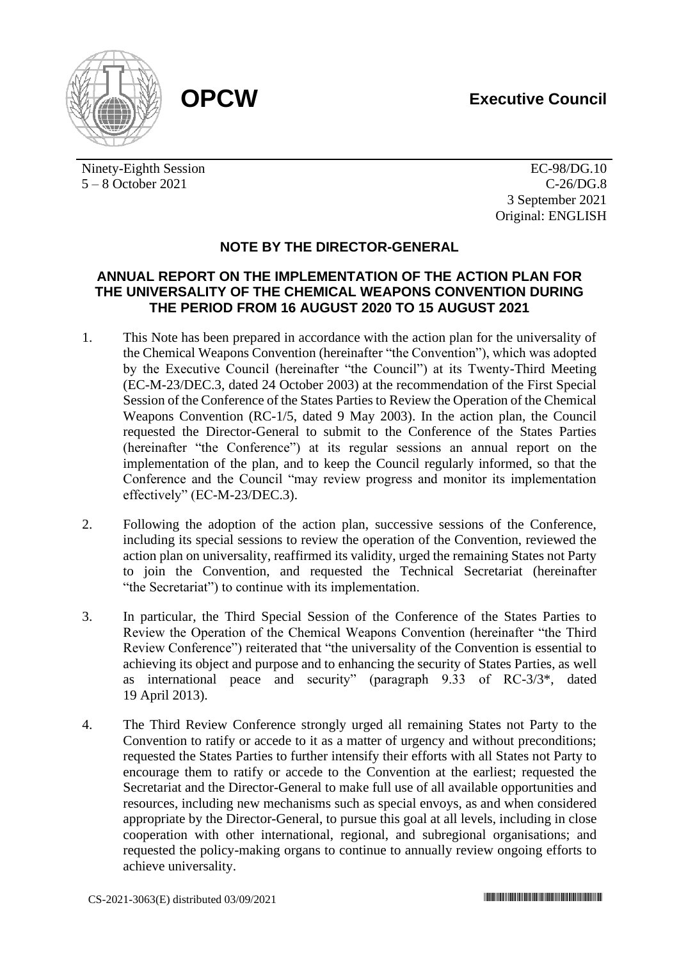

Ninety-Eighth Session 5 – 8 October 2021

EC-98/DG.10 C-26/DG.8 3 September 2021 Original: ENGLISH

# **NOTE BY THE DIRECTOR-GENERAL**

## **ANNUAL REPORT ON THE IMPLEMENTATION OF THE ACTION PLAN FOR THE UNIVERSALITY OF THE CHEMICAL WEAPONS CONVENTION DURING THE PERIOD FROM 16 AUGUST 2020 TO 15 AUGUST 2021**

- 1. This Note has been prepared in accordance with the action plan for the universality of the Chemical Weapons Convention (hereinafter "the Convention"), which was adopted by the Executive Council (hereinafter "the Council") at its Twenty-Third Meeting (EC-M-23/DEC.3, dated 24 October 2003) at the recommendation of the First Special Session of the Conference of the States Parties to Review the Operation of the Chemical Weapons Convention (RC-1/5, dated 9 May 2003). In the action plan, the Council requested the Director-General to submit to the Conference of the States Parties (hereinafter "the Conference") at its regular sessions an annual report on the implementation of the plan, and to keep the Council regularly informed, so that the Conference and the Council "may review progress and monitor its implementation effectively" (EC-M-23/DEC.3).
- 2. Following the adoption of the action plan, successive sessions of the Conference, including its special sessions to review the operation of the Convention, reviewed the action plan on universality, reaffirmed its validity, urged the remaining States not Party to join the Convention, and requested the Technical Secretariat (hereinafter "the Secretariat") to continue with its implementation.
- 3. In particular, the Third Special Session of the Conference of the States Parties to Review the Operation of the Chemical Weapons Convention (hereinafter "the Third Review Conference") reiterated that "the universality of the Convention is essential to achieving its object and purpose and to enhancing the security of States Parties, as well as international peace and security" (paragraph 9.33 of RC-3/3\*, dated 19 April 2013).
- 4. The Third Review Conference strongly urged all remaining States not Party to the Convention to ratify or accede to it as a matter of urgency and without preconditions; requested the States Parties to further intensify their efforts with all States not Party to encourage them to ratify or accede to the Convention at the earliest; requested the Secretariat and the Director-General to make full use of all available opportunities and resources, including new mechanisms such as special envoys, as and when considered appropriate by the Director-General, to pursue this goal at all levels, including in close cooperation with other international, regional, and subregional organisations; and requested the policy-making organs to continue to annually review ongoing efforts to achieve universality.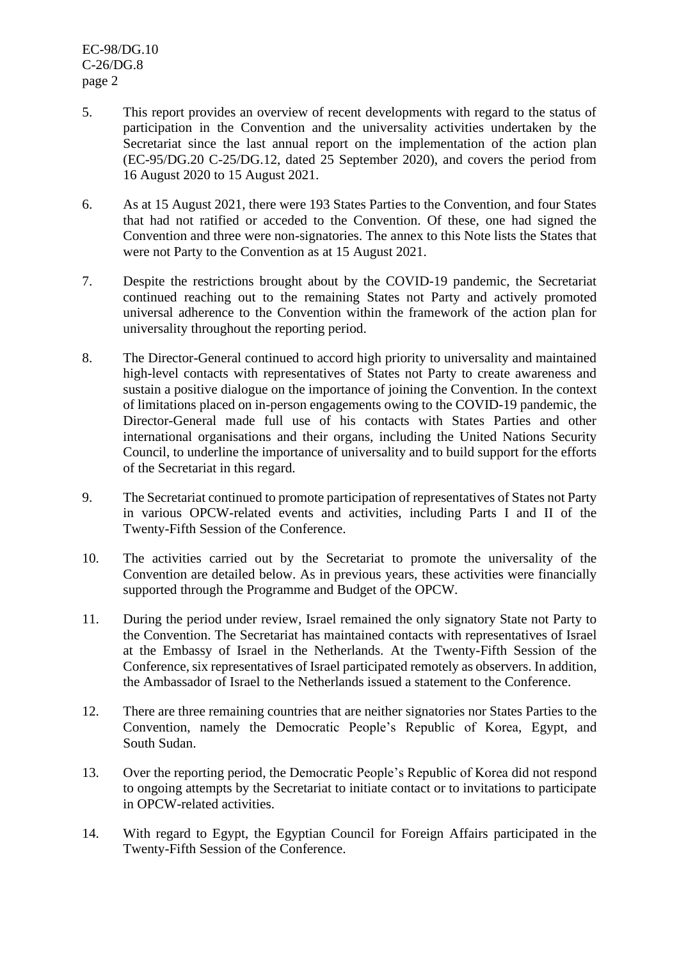EC-98/DG.10 C-26/DG.8 page 2

- 5. This report provides an overview of recent developments with regard to the status of participation in the Convention and the universality activities undertaken by the Secretariat since the last annual report on the implementation of the action plan (EC-95/DG.20 C-25/DG.12, dated 25 September 2020), and covers the period from 16 August 2020 to 15 August 2021.
- 6. As at 15 August 2021, there were 193 States Parties to the Convention, and four States that had not ratified or acceded to the Convention. Of these, one had signed the Convention and three were non-signatories. The annex to this Note lists the States that were not Party to the Convention as at 15 August 2021.
- 7. Despite the restrictions brought about by the COVID-19 pandemic, the Secretariat continued reaching out to the remaining States not Party and actively promoted universal adherence to the Convention within the framework of the action plan for universality throughout the reporting period.
- 8. The Director-General continued to accord high priority to universality and maintained high-level contacts with representatives of States not Party to create awareness and sustain a positive dialogue on the importance of joining the Convention. In the context of limitations placed on in-person engagements owing to the COVID-19 pandemic, the Director-General made full use of his contacts with States Parties and other international organisations and their organs, including the United Nations Security Council, to underline the importance of universality and to build support for the efforts of the Secretariat in this regard.
- 9. The Secretariat continued to promote participation of representatives of States not Party in various OPCW-related events and activities, including Parts I and II of the Twenty-Fifth Session of the Conference.
- 10. The activities carried out by the Secretariat to promote the universality of the Convention are detailed below. As in previous years, these activities were financially supported through the Programme and Budget of the OPCW.
- 11. During the period under review, Israel remained the only signatory State not Party to the Convention. The Secretariat has maintained contacts with representatives of Israel at the Embassy of Israel in the Netherlands. At the Twenty-Fifth Session of the Conference, six representatives of Israel participated remotely as observers. In addition, the Ambassador of Israel to the Netherlands issued a statement to the Conference.
- 12. There are three remaining countries that are neither signatories nor States Parties to the Convention, namely the Democratic People's Republic of Korea, Egypt, and South Sudan.
- 13. Over the reporting period, the Democratic People's Republic of Korea did not respond to ongoing attempts by the Secretariat to initiate contact or to invitations to participate in OPCW-related activities.
- 14. With regard to Egypt, the Egyptian Council for Foreign Affairs participated in the Twenty-Fifth Session of the Conference.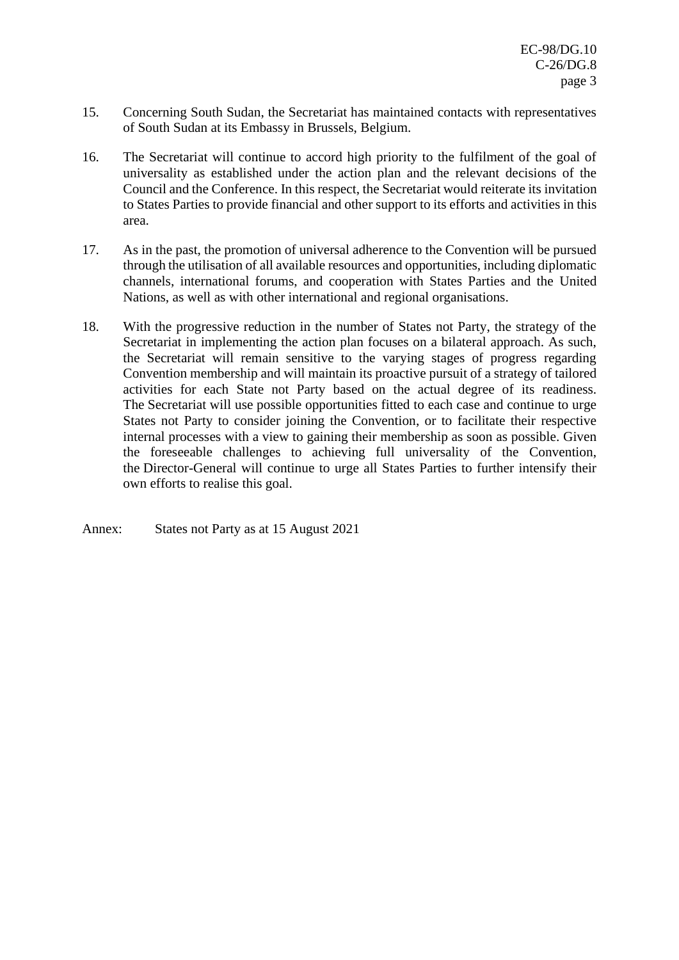- 15. Concerning South Sudan, the Secretariat has maintained contacts with representatives of South Sudan at its Embassy in Brussels, Belgium.
- 16. The Secretariat will continue to accord high priority to the fulfilment of the goal of universality as established under the action plan and the relevant decisions of the Council and the Conference. In this respect, the Secretariat would reiterate its invitation to States Parties to provide financial and other support to its efforts and activities in this area.
- 17. As in the past, the promotion of universal adherence to the Convention will be pursued through the utilisation of all available resources and opportunities, including diplomatic channels, international forums, and cooperation with States Parties and the United Nations, as well as with other international and regional organisations.
- 18. With the progressive reduction in the number of States not Party, the strategy of the Secretariat in implementing the action plan focuses on a bilateral approach. As such, the Secretariat will remain sensitive to the varying stages of progress regarding Convention membership and will maintain its proactive pursuit of a strategy of tailored activities for each State not Party based on the actual degree of its readiness. The Secretariat will use possible opportunities fitted to each case and continue to urge States not Party to consider joining the Convention, or to facilitate their respective internal processes with a view to gaining their membership as soon as possible. Given the foreseeable challenges to achieving full universality of the Convention, the Director-General will continue to urge all States Parties to further intensify their own efforts to realise this goal.

Annex: States not Party as at 15 August 2021